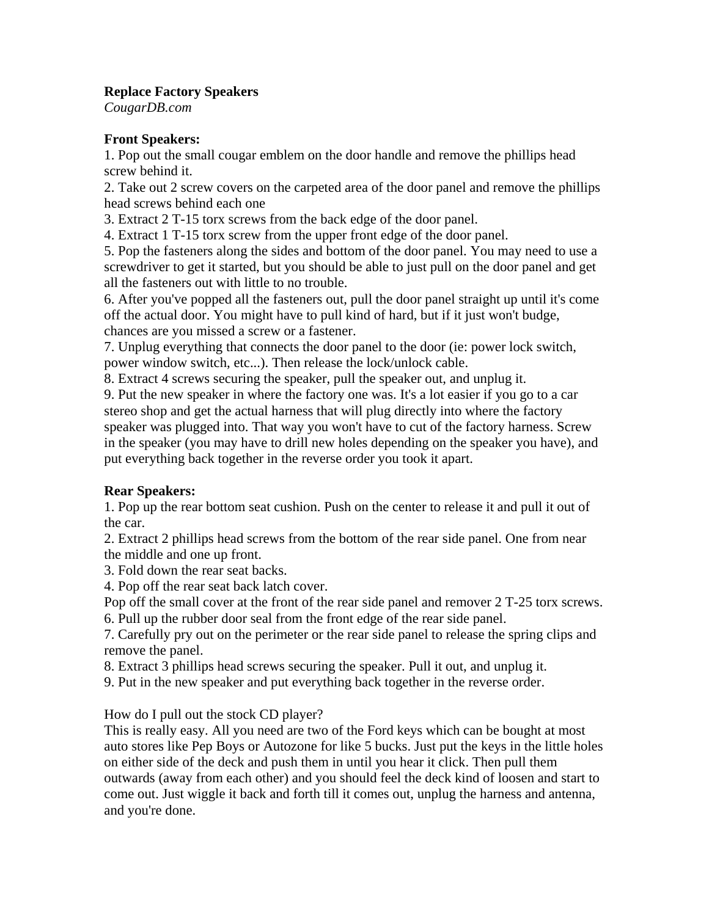## **Replace Factory Speakers**

*CougarDB.com* 

## **Front Speakers:**

1. Pop out the small cougar emblem on the door handle and remove the phillips head screw behind it.

2. Take out 2 screw covers on the carpeted area of the door panel and remove the phillips head screws behind each one

3. Extract 2 T-15 torx screws from the back edge of the door panel.

4. Extract 1 T-15 torx screw from the upper front edge of the door panel.

5. Pop the fasteners along the sides and bottom of the door panel. You may need to use a screwdriver to get it started, but you should be able to just pull on the door panel and get all the fasteners out with little to no trouble.

6. After you've popped all the fasteners out, pull the door panel straight up until it's come off the actual door. You might have to pull kind of hard, but if it just won't budge, chances are you missed a screw or a fastener.

7. Unplug everything that connects the door panel to the door (ie: power lock switch, power window switch, etc...). Then release the lock/unlock cable.

8. Extract 4 screws securing the speaker, pull the speaker out, and unplug it.

9. Put the new speaker in where the factory one was. It's a lot easier if you go to a car stereo shop and get the actual harness that will plug directly into where the factory speaker was plugged into. That way you won't have to cut of the factory harness. Screw in the speaker (you may have to drill new holes depending on the speaker you have), and put everything back together in the reverse order you took it apart.

## **Rear Speakers:**

1. Pop up the rear bottom seat cushion. Push on the center to release it and pull it out of the car.

2. Extract 2 phillips head screws from the bottom of the rear side panel. One from near the middle and one up front.

3. Fold down the rear seat backs.

4. Pop off the rear seat back latch cover.

Pop off the small cover at the front of the rear side panel and remover 2 T-25 torx screws. 6. Pull up the rubber door seal from the front edge of the rear side panel.

7. Carefully pry out on the perimeter or the rear side panel to release the spring clips and remove the panel.

8. Extract 3 phillips head screws securing the speaker. Pull it out, and unplug it.

9. Put in the new speaker and put everything back together in the reverse order.

## How do I pull out the stock CD player?

This is really easy. All you need are two of the Ford keys which can be bought at most auto stores like Pep Boys or Autozone for like 5 bucks. Just put the keys in the little holes on either side of the deck and push them in until you hear it click. Then pull them outwards (away from each other) and you should feel the deck kind of loosen and start to come out. Just wiggle it back and forth till it comes out, unplug the harness and antenna, and you're done.